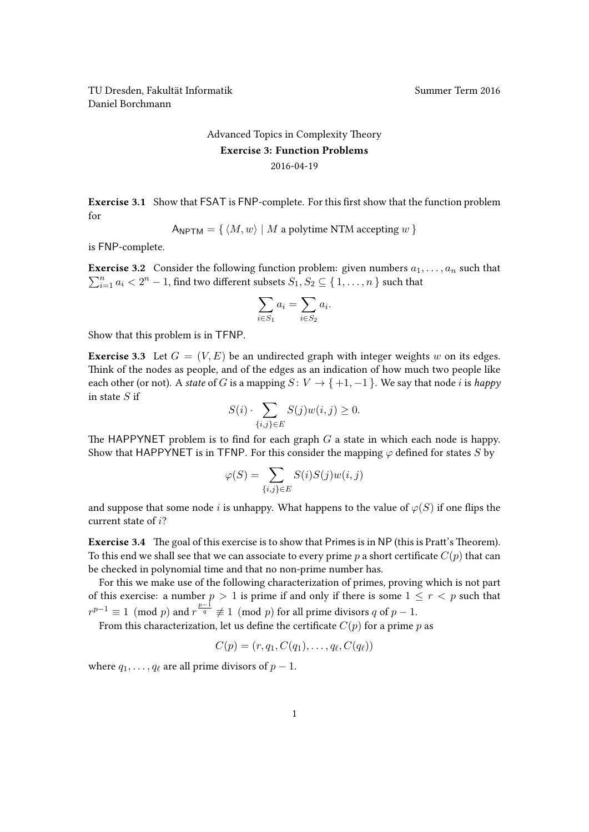TU Dresden, Fakultät Informatik Nummer Term 2016 Daniel Borchmann

## [Advanced Topics in Complexity Theory](https://ddll.inf.tu-dresden.de/web/Advanced_Topics_in_Complexity_Theory_(SS2016)) Exercise 3: Function Problems 2016-04-19

Exercise 3.1 Show that FSAT is FNP-complete. For this first show that the function problem for

$$
A_{\text{NPTM}} = \{ \langle M, w \rangle \mid M \text{ a polytime NTM accepting } w \}
$$

is FNP-complete.

**Exercise 3.2** Consider the following function problem: given numbers  $a_1, \ldots, a_n$  such that  $\sum_{i=1}^{n} a_i < 2^n - 1$ , find two different subsets  $S_1, S_2 \subseteq \{1, \ldots, n\}$  such that

$$
\sum_{i \in S_1} a_i = \sum_{i \in S_2} a_i.
$$

Show that this problem is in TFNP.

**Exercise 3.3** Let  $G = (V, E)$  be an undirected graph with integer weights w on its edges. Think of the nodes as people, and of the edges as an indication of how much two people like each other (or not). A state of G is a mapping  $S: V \to \{+1, -1\}$ . We say that node i is happy in state  $S$  if

$$
S(i) \cdot \sum_{\{i,j\} \in E} S(j)w(i,j) \ge 0.
$$

The HAPPYNET problem is to find for each graph  $G$  a state in which each node is happy. Show that HAPPYNET is in TFNP. For this consider the mapping  $\varphi$  defined for states S by

$$
\varphi(S) = \sum_{\{i,j\} \in E} S(i)S(j)w(i,j)
$$

and suppose that some node i is unhappy. What happens to the value of  $\varphi(S)$  if one flips the current state of i?

Exercise 3.4 The goal of this exercise is to show that Primes is in NP (this is Pratt's Theorem). To this end we shall see that we can associate to every prime p a short certificate  $C(p)$  that can be checked in polynomial time and that no non-prime number has.

For this we make use of the following characterization of primes, proving which is not part of this exercise: a number  $p > 1$  is prime if and only if there is some  $1 \le r < p$  such that  $r^{p-1} \equiv 1 \pmod{p}$  and  $r^{\frac{p-1}{q}} \not\equiv 1 \pmod{p}$  for all prime divisors q of  $p-1$ .

From this characterization, let us define the certificate  $C(p)$  for a prime p as

$$
C(p)=(r,q_1,C(q_1),\ldots,q_\ell,C(q_\ell))
$$

where  $q_1, \ldots, q_\ell$  are all prime divisors of  $p - 1$ .